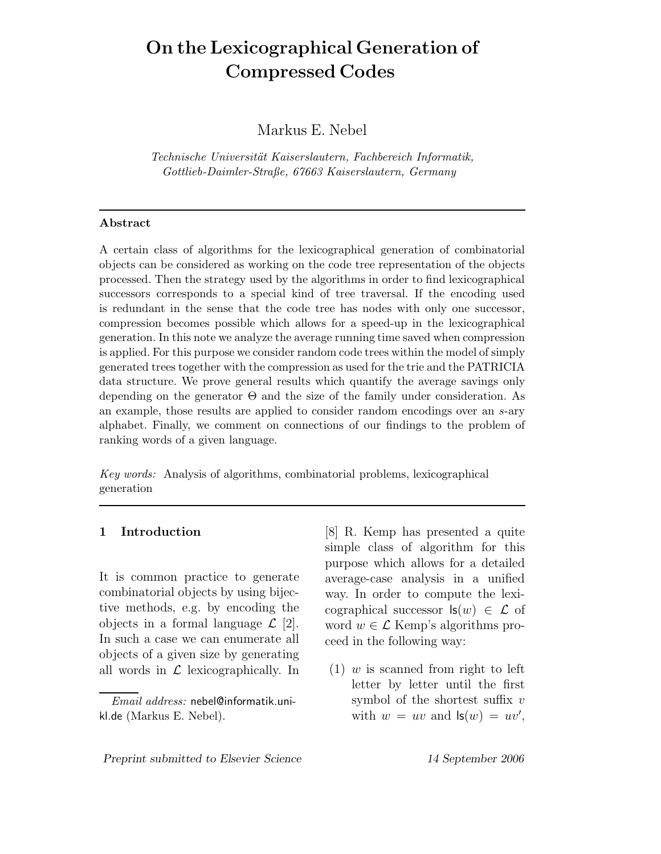# **On the Lexicographical Generation of Compressed Codes**

Markus E. Nebel

*Technische Universit¨at Kaiserslautern, Fachbereich Informatik, Gottlieb-Daimler-Straße, 67663 Kaiserslautern, Germany*

#### **Abstract**

A certain class of algorithms for the lexicographical generation of combinatorial objects can be considered as working on the code tree representation of the objects processed. Then the strategy used by the algorithms in order to find lexicographical successors corresponds to a special kind of tree traversal. If the encoding used is redundant in the sense that the code tree has nodes with only one successor, compression becomes possible which allows for a speed-up in the lexicographical generation. In this note we analyze the average running time saved when compression is applied. For this purpose we consider random code trees within the model of simply generated trees together with the compression as used for the trie and the PATRICIA data structure. We prove general results which quantify the average savings only depending on the generator Θ and the size of the family under consideration. As an example, those results are applied to consider random encodings over an *s*-ary alphabet. Finally, we comment on connections of our findings to the problem of ranking words of a given language.

*Key words:* Analysis of algorithms, combinatorial problems, lexicographical generation

## **1 Introduction**

It is common practice to generate combinatorial objects by using bijective methods, e.g. by encoding the objects in a formal language  $\mathcal{L}$  [2]. In such a case we can enumerate all objects of a given size by generating all words in  $\mathcal L$  lexicographically. In

[8] R. Kemp has presented a quite simple class of algorithm for this purpose which allows for a detailed average-case analysis in a unified way. In order to compute the lexicographical successor  $\mathsf{ls}(w) \in \mathcal{L}$  of word  $w \in \mathcal{L}$  Kemp's algorithms proceed in the following way:

 $(1)$  w is scanned from right to left letter by letter until the first symbol of the shortest suffix  $v$ with  $w = uv$  and  $\mathsf{ls}(w) = uv'$ ,

*Email address:* nebel@informatik.unikl.de (Markus E. Nebel).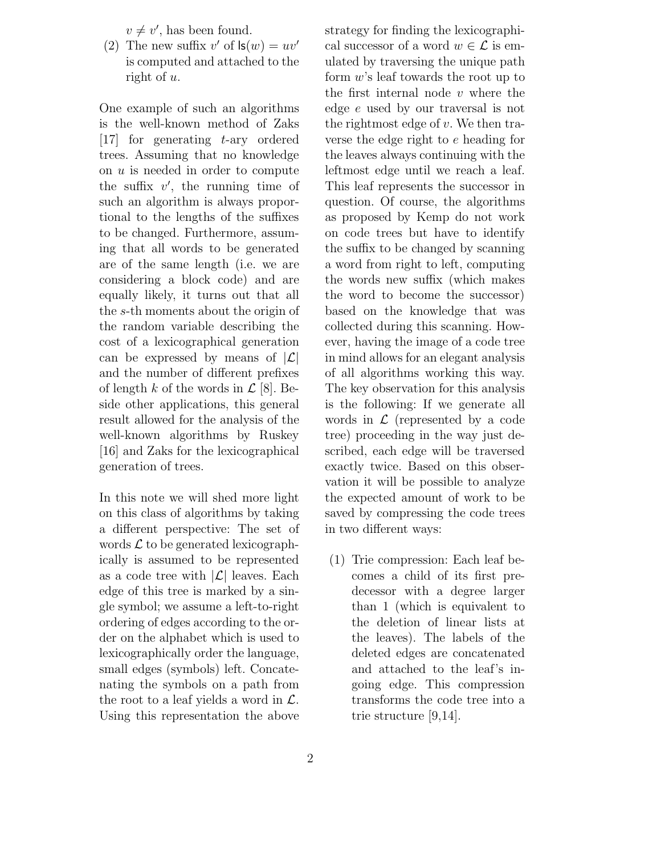$v \neq v'$ , has been found.<br>The new suffix  $v'$  of  $\mathbf{ls}(v)$ 

(2) The new suffix  $v'$  of  $\mathsf{ls}(w) = uv'$ <br>is computed and attached to the is computed and attached to the right of u.

One example of such an algorithms is the well-known method of Zaks [17] for generating t-ary ordered trees. Assuming that no knowledge on u is needed in order to compute the suffix  $v'$ , the running time of<br>such an algorithm is always proporsuch an algorithm is always proportional to the lengths of the suffixes to be changed. Furthermore, assuming that all words to be generated are of the same length (i.e. we are considering a block code) and are equally likely, it turns out that all the s-th moments about the origin of the random variable describing the cost of a lexicographical generation can be expressed by means of  $|\mathcal{L}|$ and the number of different prefixes of length k of the words in  $\mathcal{L}$  [8]. Beside other applications, this general result allowed for the analysis of the well-known algorithms by Ruskey [16] and Zaks for the lexicographical generation of trees.

In this note we will shed more light on this class of algorithms by taking a different perspective: The set of words  $\mathcal L$  to be generated lexicographically is assumed to be represented as a code tree with  $|\mathcal{L}|$  leaves. Each edge of this tree is marked by a single symbol; we assume a left-to-right ordering of edges according to the order on the alphabet which is used to lexicographically order the language, small edges (symbols) left. Concatenating the symbols on a path from the root to a leaf yields a word in  $\mathcal{L}$ . Using this representation the above strategy for finding the lexicographical successor of a word  $w \in \mathcal{L}$  is emulated by traversing the unique path form w's leaf towards the root up to the first internal node  $v$  where the edge e used by our traversal is not the rightmost edge of  $v$ . We then traverse the edge right to e heading for the leaves always continuing with the leftmost edge until we reach a leaf. This leaf represents the successor in question. Of course, the algorithms as proposed by Kemp do not work on code trees but have to identify the suffix to be changed by scanning a word from right to left, computing the words new suffix (which makes the word to become the successor) based on the knowledge that was collected during this scanning. However, having the image of a code tree in mind allows for an elegant analysis of all algorithms working this way. The key observation for this analysis is the following: If we generate all words in  $\mathcal L$  (represented by a code tree) proceeding in the way just described, each edge will be traversed exactly twice. Based on this observation it will be possible to analyze the expected amount of work to be saved by compressing the code trees in two different ways:

(1) Trie compression: Each leaf becomes a child of its first predecessor with a degree larger than 1 (which is equivalent to the deletion of linear lists at the leaves). The labels of the deleted edges are concatenated and attached to the leaf's ingoing edge. This compression transforms the code tree into a trie structure [9,14].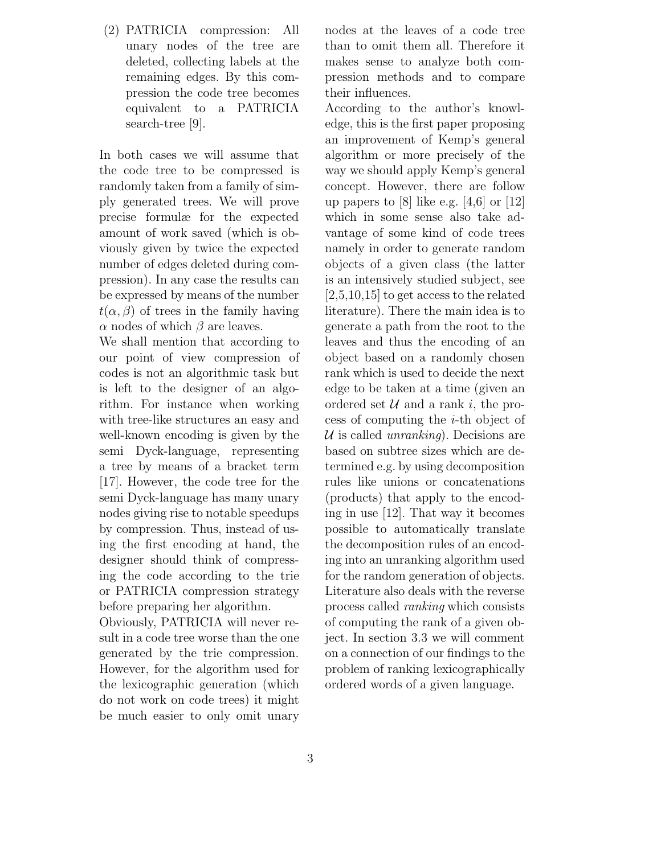(2) PATRICIA compression: All unary nodes of the tree are deleted, collecting labels at the remaining edges. By this compression the code tree becomes equivalent to a PATRICIA search-tree [9].

In both cases we will assume that the code tree to be compressed is randomly taken from a family of simply generated trees. We will prove precise formulæ for the expected amount of work saved (which is obviously given by twice the expected number of edges deleted during compression). In any case the results can be expressed by means of the number  $t(\alpha, \beta)$  of trees in the family having  $\alpha$  nodes of which  $\beta$  are leaves.

We shall mention that according to our point of view compression of codes is not an algorithmic task but is left to the designer of an algorithm. For instance when working with tree-like structures an easy and well-known encoding is given by the semi Dyck-language, representing a tree by means of a bracket term [17]. However, the code tree for the semi Dyck-language has many unary nodes giving rise to notable speedups by compression. Thus, instead of using the first encoding at hand, the designer should think of compressing the code according to the trie or PATRICIA compression strategy before preparing her algorithm.

Obviously, PATRICIA will never result in a code tree worse than the one generated by the trie compression. However, for the algorithm used for the lexicographic generation (which do not work on code trees) it might be much easier to only omit unary nodes at the leaves of a code tree than to omit them all. Therefore it makes sense to analyze both compression methods and to compare their influences.

According to the author's knowledge, this is the first paper proposing an improvement of Kemp's general algorithm or more precisely of the way we should apply Kemp's general concept. However, there are follow up papers to [8] like e.g.  $[4,6]$  or  $[12]$ which in some sense also take advantage of some kind of code trees namely in order to generate random objects of a given class (the latter is an intensively studied subject, see [2,5,10,15] to get access to the related literature). There the main idea is to generate a path from the root to the leaves and thus the encoding of an object based on a randomly chosen rank which is used to decide the next edge to be taken at a time (given an ordered set  $\mathcal U$  and a rank i, the process of computing the  $i$ -th object of U is called *unranking*). Decisions are based on subtree sizes which are determined e.g. by using decomposition rules like unions or concatenations (products) that apply to the encoding in use [12]. That way it becomes possible to automatically translate the decomposition rules of an encoding into an unranking algorithm used for the random generation of objects. Literature also deals with the reverse process called *ranking* which consists of computing the rank of a given object. In section 3.3 we will comment on a connection of our findings to the problem of ranking lexicographically ordered words of a given language.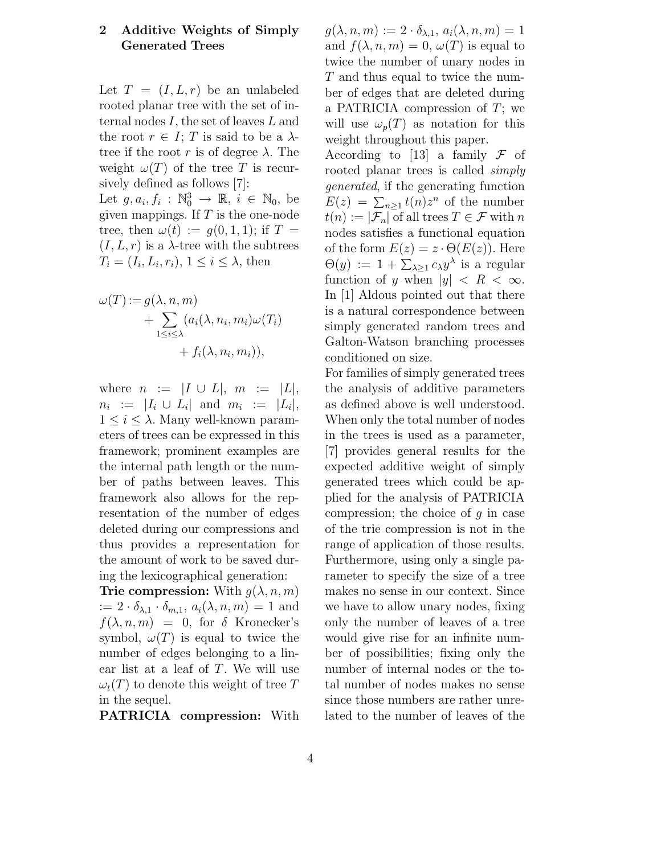## **2 Additive Weights of Simply Generated Trees**

Let  $T = (I, L, r)$  be an unlabeled rooted planar tree with the set of internal nodes I, the set of leaves L and the root  $r \in I$ ; T is said to be a  $\lambda$ tree if the root r is of degree  $\lambda$ . The weight  $\omega(T)$  of the tree T is recursively defined as follows [7]:

Let  $g, a_i, f_i : \mathbb{N}_0^3 \to \mathbb{R}, i \in \mathbb{N}_0$ , be<br>given mappings If T is the one-node given mappings. If  $T$  is the one-node tree, then  $\omega(t) := g(0,1,1)$ ; if  $T =$  $(I, L, r)$  is a  $\lambda$ -tree with the subtrees  $T_i = (I_i, L_i, r_i), 1 \leq i \leq \lambda$ , then

$$
\omega(T) := g(\lambda, n, m)
$$
  
+ 
$$
\sum_{1 \leq i \leq \lambda} (a_i(\lambda, n_i, m_i) \omega(T_i))
$$
  
+ 
$$
f_i(\lambda, n_i, m_i)),
$$

where  $n := |I \cup L|, m := |L|$ ,  $n_i := |I_i \cup L_i|$  and  $m_i := |L_i|$ ,  $1 \leq i \leq \lambda$ . Many well-known parameters of trees can be expressed in this framework; prominent examples are the internal path length or the number of paths between leaves. This framework also allows for the representation of the number of edges deleted during our compressions and thus provides a representation for the amount of work to be saved during the lexicographical generation:

**Trie compression:** With  $g(\lambda, n, m)$  $:= 2 \cdot \delta_{\lambda,1} \cdot \delta_{m,1}, a_i(\lambda, n, m) = 1$  and  $f(\lambda, n, m) = 0$ , for  $\delta$  Kronecker's symbol,  $\omega(T)$  is equal to twice the number of edges belonging to a linear list at a leaf of T. We will use  $\omega_t(T)$  to denote this weight of tree T in the sequel.

**PATRICIA compression:** With

 $g(\lambda, n, m) := 2 \cdot \delta_{\lambda, 1}, a_i(\lambda, n, m) = 1$ and  $f(\lambda, n, m) = 0, \omega(T)$  is equal to twice the number of unary nodes in T and thus equal to twice the number of edges that are deleted during a PATRICIA compression of  $T$ ; we will use  $\omega_p(T)$  as notation for this weight throughout this paper.

According to [13] a family  $\mathcal F$  of rooted planar trees is called *simply generated*, if the generating function  $E(z) = \sum_{n\geq 1} t(n)z^n$  of the number<br> $t(n) := |\mathcal{F}|$  of all trops  $T \in \mathcal{F}$  with n  $t(n) := |\mathcal{F}_n|$  of all trees  $T \in \mathcal{F}$  with n nodes satisfies a functional equation of the form  $E(z) = z \cdot \Theta(E(z))$ . Here  $\Theta(y) := 1 + \sum_{\lambda \geq 1} c_{\lambda} y^{\lambda}$  is a regular<br>function of *y* when  $|y| < R < \infty$ function of y when  $|y| < R < \infty$ . In [1] Aldous pointed out that there is a natural correspondence between simply generated random trees and Galton-Watson branching processes conditioned on size.

For families of simply generated trees the analysis of additive parameters as defined above is well understood. When only the total number of nodes in the trees is used as a parameter, [7] provides general results for the expected additive weight of simply generated trees which could be applied for the analysis of PATRICIA compression; the choice of  $q$  in case of the trie compression is not in the range of application of those results. Furthermore, using only a single parameter to specify the size of a tree makes no sense in our context. Since we have to allow unary nodes, fixing only the number of leaves of a tree would give rise for an infinite number of possibilities; fixing only the number of internal nodes or the total number of nodes makes no sense since those numbers are rather unrelated to the number of leaves of the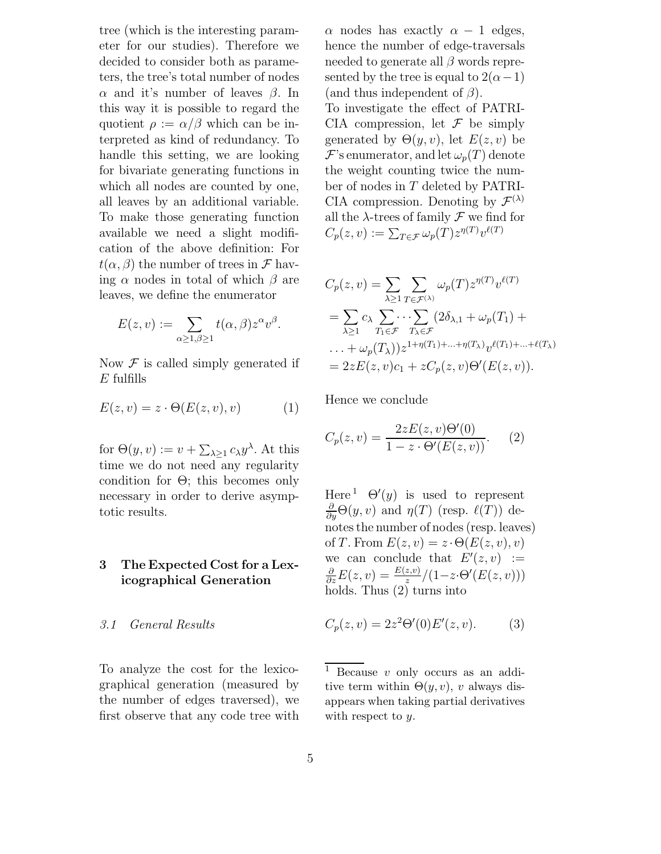tree (which is the interesting parameter for our studies). Therefore we decided to consider both as parameters, the tree's total number of nodes α and it's number of leaves  $β$ . In this way it is possible to regard the quotient  $\rho := \alpha/\beta$  which can be interpreted as kind of redundancy. To handle this setting, we are looking for bivariate generating functions in which all nodes are counted by one, all leaves by an additional variable. To make those generating function available we need a slight modification of the above definition: For  $t(\alpha, \beta)$  the number of trees in  $\mathcal F$  having  $\alpha$  nodes in total of which  $\beta$  are leaves, we define the enumerator

$$
E(z, v) := \sum_{\alpha \ge 1, \beta \ge 1} t(\alpha, \beta) z^{\alpha} v^{\beta}.
$$

Now  $\mathcal F$  is called simply generated if  $E$  fulfills

$$
E(z, v) = z \cdot \Theta(E(z, v), v) \tag{1}
$$

for  $\Theta(y, v) := v + \sum_{\lambda \geq 1} c_{\lambda} y^{\lambda}$ . At this time we do not need any regularity condition for  $\Theta$ ; this becomes only necessary in order to derive asymptotic results.

# **3 The Expected Cost for a Lexicographical Generation**

#### *3.1 General Results*

To analyze the cost for the lexicographical generation (measured by the number of edges traversed), we first observe that any code tree with  $\alpha$  nodes has exactly  $\alpha - 1$  edges, hence the number of edge-traversals needed to generate all  $\beta$  words represented by the tree is equal to  $2(\alpha-1)$ (and thus independent of  $\beta$ ). To investigate the effect of PATRI-CIA compression, let  $\mathcal F$  be simply generated by  $\Theta(y, v)$ , let  $E(z, v)$  be  $\mathcal{F}$ 's enumerator, and let  $\omega_p(T)$  denote the weight counting twice the number of nodes in T deleted by PATRI-CIA compression. Denoting by  $\mathcal{F}^{(\lambda)}$ all the  $\lambda$ -trees of family  $\mathcal F$  we find for  $C_p(z, v) := \sum_{T \in \mathcal{F}} \omega_p(T) z^{\eta(T)} v^{\ell(T)}$ 

$$
C_p(z, v) = \sum_{\lambda \ge 1} \sum_{T \in \mathcal{F}(\lambda)} \omega_p(T) z^{\eta(T)} v^{\ell(T)}
$$
  
= 
$$
\sum_{\lambda \ge 1} c_{\lambda} \sum_{T_1 \in \mathcal{F}} \cdots \sum_{T_{\lambda} \in \mathcal{F}} (2\delta_{\lambda, 1} + \omega_p(T_1) + \cdots + \omega_p(T_{\lambda})) z^{1 + \eta(T_1) + \cdots + \eta(T_{\lambda})} v^{\ell(T_1) + \cdots + \ell(T_{\lambda})}
$$
  
= 
$$
2z E(z, v) c_1 + z C_p(z, v) \Theta'(E(z, v)).
$$

Hence we conclude

$$
C_p(z,v) = \frac{2zE(z,v)\Theta'(0)}{1 - z \cdot \Theta'(E(z,v))}.
$$
 (2)

Here<sup>1</sup>  $\Theta'(y)$  is used to represent<br>  $\frac{\partial}{\partial \Theta}(y, y)$  and  $p(T)$  (resp.  $\ell(T)$ ) de- $\frac{\partial}{\partial y}\Theta(y, v)$  and  $\eta(T)$  (resp.  $\ell(T)$ ) denotes the number of nodes (resp. leaves) of T. From  $E(z, v) = z \cdot \Theta(E(z, v), v)$ we can conclude that  $E'(z, v) :=$ <br>  $\frac{\partial F(z, v)}{\partial t} = E(z, v) / (1 - z \Theta'(F(z, v)))$  $\frac{\partial}{\partial z}E(z, v) = \frac{E(z, v)}{z} / (1 - z \cdot \Theta'(E(z, v)))$ <br>holds. Thus (2) turns into

$$
C_p(z, v) = 2z^2 \Theta'(0) E'(z, v).
$$
 (3)

<sup>1</sup> Because *v* only occurs as an additive term within  $\Theta(y, v)$ , *v* always disappears when taking partial derivatives with respect to *y*.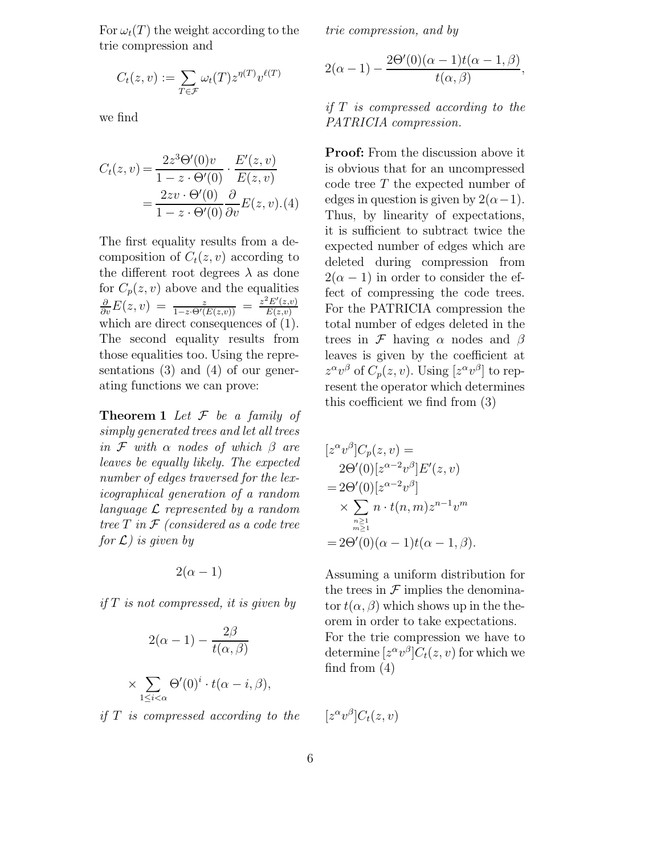For  $\omega_t(T)$  the weight according to the trie compression and

$$
C_t(z,v) := \sum_{T \in \mathcal{F}} \omega_t(T) z^{\eta(T)} v^{\ell(T)}
$$

we find

$$
C_t(z, v) = \frac{2z^3\Theta'(0)v}{1 - z \cdot \Theta'(0)} \cdot \frac{E'(z, v)}{E(z, v)}
$$
  
= 
$$
\frac{2zv \cdot \Theta'(0)}{1 - z \cdot \Theta'(0)} \frac{\partial}{\partial v} E(z, v) . (4)
$$

The first equality results from a decomposition of  $C_t(z, v)$  according to the different root degrees  $\lambda$  as done for  $C_p(z, v)$  above and the equalities  $\frac{\partial}{\partial v}E(z, v) = \frac{z}{1-z \cdot \Theta'(E(z, v))} = \frac{z^2 E'(z, v)}{E(z, v)}$  $E(z,v)$ which are direct consequences of  $(1)$ . The second equality results from those equalities too. Using the representations (3) and (4) of our generating functions we can prove:

**Theorem 1** *Let* F *be a family of simply generated trees and let all trees in* <sup>F</sup> *with* α *nodes of which* β *are leaves be equally likely. The expected number of edges traversed for the lexicographical generation of a random language* L *represented by a random tree* T *in* <sup>F</sup> *(considered as a code tree for* L*) is given by*

$$
2(\alpha-1)
$$

*if* T *is not compressed, it is given by*

$$
2(\alpha - 1) - \frac{2\beta}{t(\alpha, \beta)}
$$

$$
\times \sum_{1 \le i < \alpha} \Theta'(0)^i \cdot t(\alpha - i, \beta),
$$

*if* T *is compressed according to the*

*trie compression, and by*

$$
2(\alpha - 1) - \frac{2\Theta'(0)(\alpha - 1)t(\alpha - 1, \beta)}{t(\alpha, \beta)},
$$

*if* T *is compressed according to the PATRICIA compression.*

**Proof:** From the discussion above it is obvious that for an uncompressed code tree T the expected number of edges in question is given by  $2(\alpha-1)$ . Thus, by linearity of expectations, it is sufficient to subtract twice the expected number of edges which are deleted during compression from  $2(\alpha - 1)$  in order to consider the effect of compressing the code trees. For the PATRICIA compression the total number of edges deleted in the trees in  $\mathcal F$  having  $\alpha$  nodes and  $\beta$ leaves is given by the coefficient at  $z^{\alpha}v^{\beta}$  of  $C_p(z, v)$ . Using  $[z^{\alpha}v^{\beta}]$  to represent the operator which determines this coefficient we find from (3)

$$
[z^{\alpha}v^{\beta}]C_p(z,v) =
$$
  
\n
$$
2\Theta'(0)[z^{\alpha-2}v^{\beta}]E'(z,v)
$$
  
\n
$$
= 2\Theta'(0)[z^{\alpha-2}v^{\beta}]
$$
  
\n
$$
\times \sum_{\substack{n\geq 1\\ m\geq 1}} n \cdot t(n,m)z^{n-1}v^m
$$
  
\n
$$
= 2\Theta'(0)(\alpha-1)t(\alpha-1,\beta).
$$

Assuming a uniform distribution for the trees in  $\mathcal F$  implies the denominator  $t(\alpha, \beta)$  which shows up in the theorem in order to take expectations. For the trie compression we have to determine  $[z^{\alpha}v^{\beta}]C_t(z, v)$  for which we find from (4)

 $[z^{\alpha}v^{\beta}]C_t(z,v)$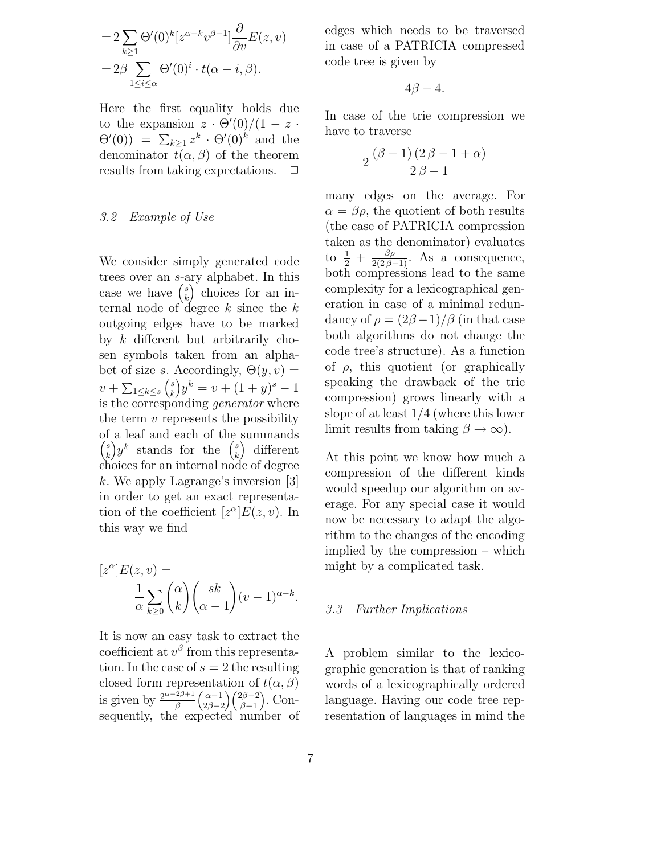$$
=2\sum_{k\geq 1}\Theta'(0)^k[z^{\alpha-k}v^{\beta-1}]\frac{\partial}{\partial v}E(z,v)
$$

$$
=2\beta\sum_{1\leq i\leq \alpha}\Theta'(0)^i\cdot t(\alpha-i,\beta).
$$

Here the first equality holds due to the expansion  $z \cdot \Theta'(0)/(1-z \cdot \Theta'(0)) = \sum_{z} z^k \cdot \Theta'(0)^k$  and the  $\Theta'(0) = \sum_{k\geq 1} z^k \cdot \Theta'(0)^k$  and the denominator  $t(\alpha, \beta)$  of the theorem<br>results from taking expectations.  $\square$ results from taking expectations.

#### *3.2 Example of Use*

We consider simply generated code trees over an s-ary alphabet. In this case we have  $\binom{s}{k}$  choices for an internal node of degree  $k$  since the  $k$ <br>outgoing edges have to be marked outgoing edges have to be marked by k different but arbitrarily chosen symbols taken from an alphabet of size s. Accordingly,  $\Theta(y, v)$  =  $v + \sum_{1 \leq k \leq s}$  $v + \sum_{1 \leq k \leq s} {s \choose k} y^k = v + (1 + y)^s - 1$ <br>is the corresponding *generator* where the term  $v$  represents the possibility of a leaf and each of the summands  $\binom{s}{k} y^k$  stands for the  $\binom{s}{k}$  $\binom{s}{k}$  different choices for an internal node of degree k. We apply Lagrange's inversion [3] in order to get an exact representation of the coefficient  $[z^{\alpha}]E(z, v)$ . In this way we find

$$
[z^{\alpha}]E(z,v) =
$$

$$
\frac{1}{\alpha} \sum_{k\geq 0} {\alpha \choose k} {sk \choose \alpha-1} (v-1)^{\alpha-k}.
$$

It is now an easy task to extract the coefficient at  $v^{\beta}$  from this representation. In the case of  $s = 2$  the resulting closed form representation of  $t(\alpha, \beta)$ closed form representation of  $t(\alpha, \beta)$ <br>is given by  $\frac{2^{\alpha-2\beta+1}}{\beta} \binom{\alpha-1}{2\beta-2} \binom{2\beta-2}{\beta-1}$ . Con- $2\beta-2$  $\big\{ \frac{2\beta-2}{2} \big\}$  $\beta-1$  $\big)$ . Consequently, the expected number of edges which needs to be traversed in case of a PATRICIA compressed code tree is given by

$$
4\beta-4.
$$

In case of the trie compression we have to traverse

$$
2\frac{(\beta-1)\,(2\,\beta-1+\alpha)}{2\,\beta-1}
$$

many edges on the average. For  $\alpha = \beta \rho$ , the quotient of both results (the case of PATRICIA compression taken as the denominator) evaluates to  $\frac{1}{2} + \frac{\beta \rho}{2(2\beta - 1)}$ . As a consequence, both compressions lead to the same complexity for a lexicographical generation in case of a minimal redundancy of  $\rho = (2\beta - 1)/\beta$  (in that case both algorithms do not change the code tree's structure). As a function of  $\rho$ , this quotient (or graphically speaking the drawback of the trie compression) grows linearly with a slope of at least 1/4 (where this lower limit results from taking  $\beta \to \infty$ ).

At this point we know how much a compression of the different kinds would speedup our algorithm on average. For any special case it would now be necessary to adapt the algorithm to the changes of the encoding implied by the compression – which might by a complicated task.

#### *3.3 Further Implications*

A problem similar to the lexicographic generation is that of ranking words of a lexicographically ordered language. Having our code tree representation of languages in mind the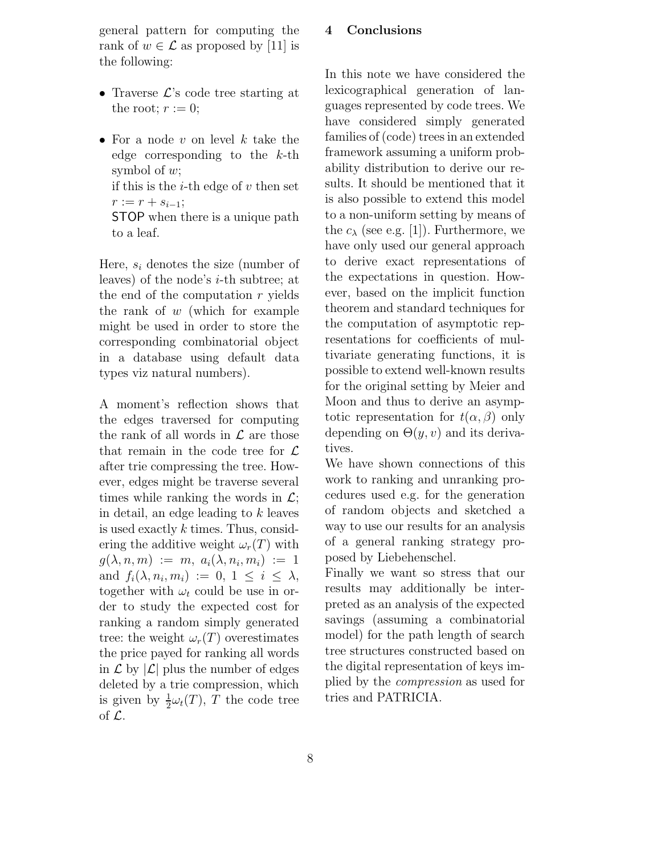general pattern for computing the rank of  $w \in \mathcal{L}$  as proposed by [11] is the following:

- Traverse  $\mathcal{L}$ 's code tree starting at the root;  $r := 0$ ;
- For a node v on level k take the edge corresponding to the  $k$ -th symbol of w; if this is the *i*-th edge of  $v$  then set  $r := r + s_{i-1};$ STOP when there is a unique path to a leaf.

Here,  $s_i$  denotes the size (number of leaves) of the node's i-th subtree; at the end of the computation  $r$  yields the rank of  $w$  (which for example might be used in order to store the corresponding combinatorial object in a database using default data types viz natural numbers).

A moment's reflection shows that the edges traversed for computing the rank of all words in  $\mathcal L$  are those that remain in the code tree for  $\mathcal L$ after trie compressing the tree. However, edges might be traverse several times while ranking the words in  $\mathcal{L}$ ; in detail, an edge leading to k leaves is used exactly k times. Thus, considering the additive weight  $\omega_r(T)$  with  $g(\lambda, n, m) := m, a_i(\lambda, n_i, m_i) := 1$ and  $f_i(\lambda, n_i, m_i) := 0, 1 \leq i \leq \lambda$ , together with  $\omega_t$  could be use in order to study the expected cost for ranking a random simply generated tree: the weight  $\omega_r(T)$  overestimates the price payed for ranking all words in  $\mathcal L$  by  $|\mathcal L|$  plus the number of edges deleted by a trie compression, which is given by  $\frac{1}{2}\omega_t(T)$ , T the code tree of  $\mathcal{L}$ .

## **4 Conclusions**

In this note we have considered the lexicographical generation of languages represented by code trees. We have considered simply generated families of (code) trees in an extended framework assuming a uniform probability distribution to derive our results. It should be mentioned that it is also possible to extend this model to a non-uniform setting by means of the  $c_{\lambda}$  (see e.g. [1]). Furthermore, we have only used our general approach to derive exact representations of the expectations in question. However, based on the implicit function theorem and standard techniques for the computation of asymptotic representations for coefficients of multivariate generating functions, it is possible to extend well-known results for the original setting by Meier and Moon and thus to derive an asymptotic representation for  $t(\alpha, \beta)$  only depending on  $\Theta(y, v)$  and its derivatives.

We have shown connections of this work to ranking and unranking procedures used e.g. for the generation of random objects and sketched a way to use our results for an analysis of a general ranking strategy proposed by Liebehenschel.

Finally we want so stress that our results may additionally be interpreted as an analysis of the expected savings (assuming a combinatorial model) for the path length of search tree structures constructed based on the digital representation of keys implied by the *compression* as used for tries and PATRICIA.